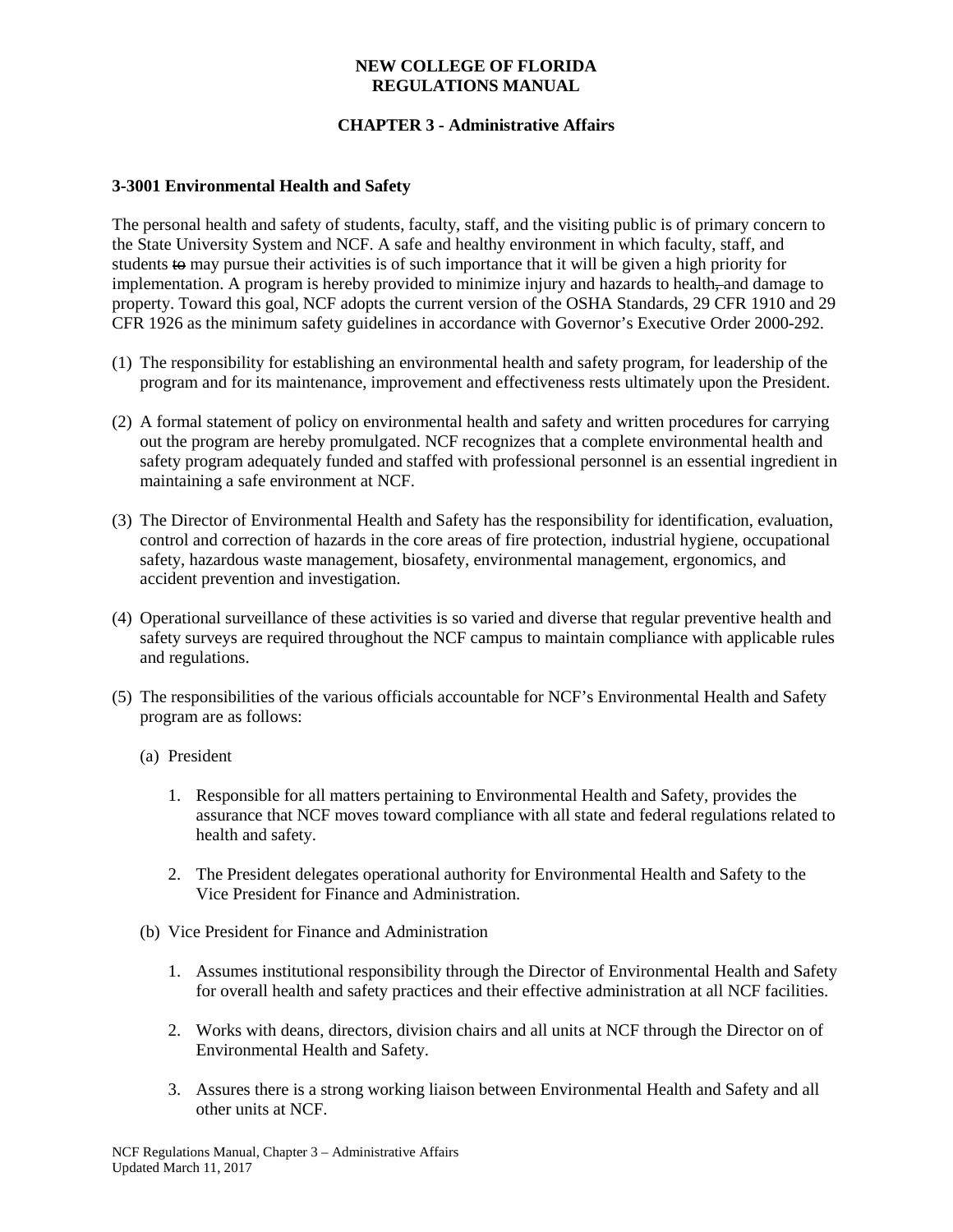### **NEW COLLEGE OF FLORIDA REGULATIONS MANUAL**

# **CHAPTER 3 - Administrative Affairs**

### **3-3001 Environmental Health and Safety**

The personal health and safety of students, faculty, staff, and the visiting public is of primary concern to the State University System and NCF. A safe and healthy environment in which faculty, staff, and students to may pursue their activities is of such importance that it will be given a high priority for implementation. A program is hereby provided to minimize injury and hazards to health, and damage to property. Toward this goal, NCF adopts the current version of the OSHA Standards, 29 CFR 1910 and 29 CFR 1926 as the minimum safety guidelines in accordance with Governor's Executive Order 2000-292.

- (1) The responsibility for establishing an environmental health and safety program, for leadership of the program and for its maintenance, improvement and effectiveness rests ultimately upon the President.
- (2) A formal statement of policy on environmental health and safety and written procedures for carrying out the program are hereby promulgated. NCF recognizes that a complete environmental health and safety program adequately funded and staffed with professional personnel is an essential ingredient in maintaining a safe environment at NCF.
- (3) The Director of Environmental Health and Safety has the responsibility for identification, evaluation, control and correction of hazards in the core areas of fire protection, industrial hygiene, occupational safety, hazardous waste management, biosafety, environmental management, ergonomics, and accident prevention and investigation.
- (4) Operational surveillance of these activities is so varied and diverse that regular preventive health and safety surveys are required throughout the NCF campus to maintain compliance with applicable rules and regulations.
- (5) The responsibilities of the various officials accountable for NCF's Environmental Health and Safety program are as follows:
	- (a) President
		- 1. Responsible for all matters pertaining to Environmental Health and Safety, provides the assurance that NCF moves toward compliance with all state and federal regulations related to health and safety.
		- 2. The President delegates operational authority for Environmental Health and Safety to the Vice President for Finance and Administration.
	- (b) Vice President for Finance and Administration
		- 1. Assumes institutional responsibility through the Director of Environmental Health and Safety for overall health and safety practices and their effective administration at all NCF facilities.
		- 2. Works with deans, directors, division chairs and all units at NCF through the Director on of Environmental Health and Safety.
		- 3. Assures there is a strong working liaison between Environmental Health and Safety and all other units at NCF.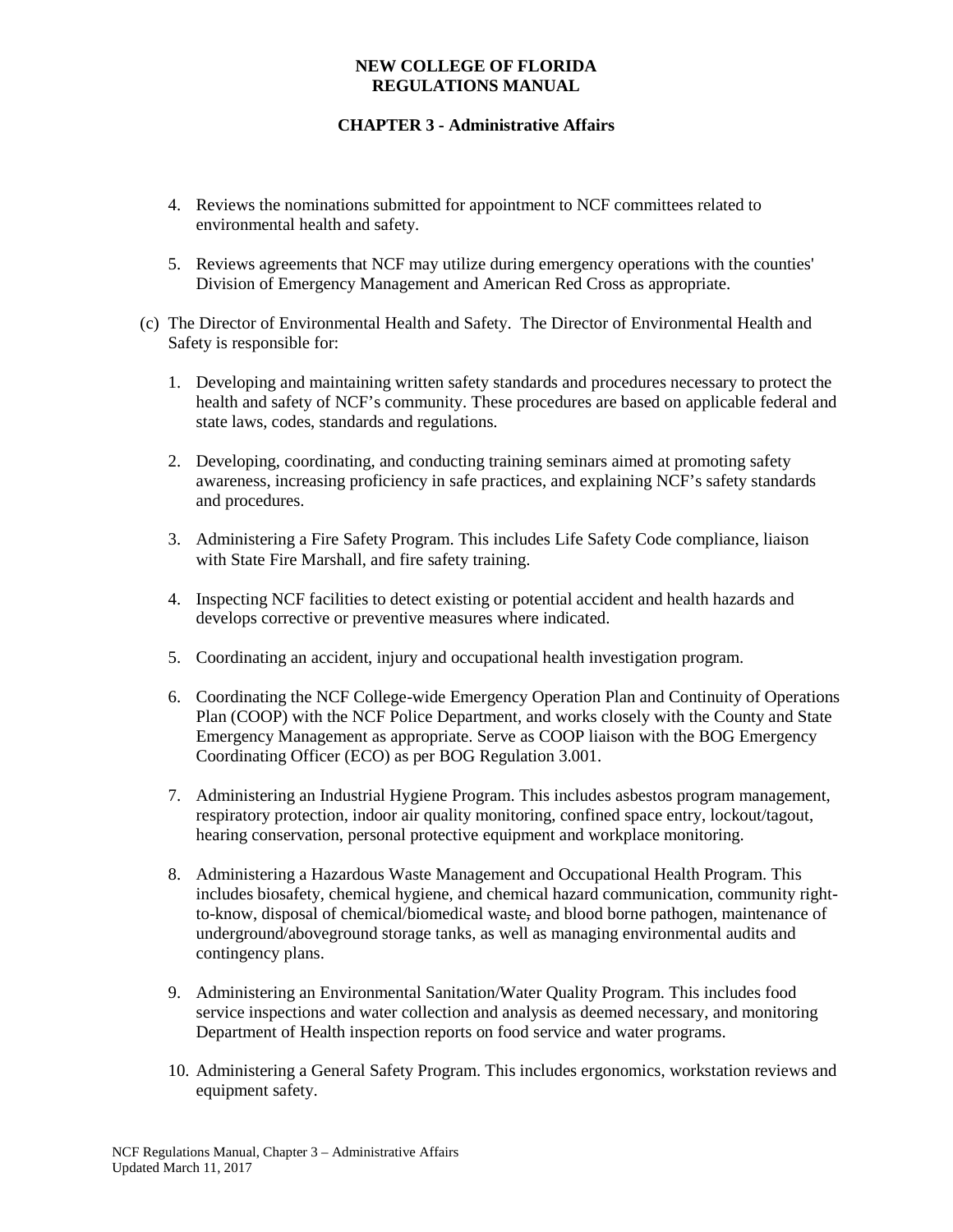### **NEW COLLEGE OF FLORIDA REGULATIONS MANUAL**

# **CHAPTER 3 - Administrative Affairs**

- 4. Reviews the nominations submitted for appointment to NCF committees related to environmental health and safety.
- 5. Reviews agreements that NCF may utilize during emergency operations with the counties' Division of Emergency Management and American Red Cross as appropriate.
- (c) The Director of Environmental Health and Safety. The Director of Environmental Health and Safety is responsible for:
	- 1. Developing and maintaining written safety standards and procedures necessary to protect the health and safety of NCF's community. These procedures are based on applicable federal and state laws, codes, standards and regulations.
	- 2. Developing, coordinating, and conducting training seminars aimed at promoting safety awareness, increasing proficiency in safe practices, and explaining NCF's safety standards and procedures.
	- 3. Administering a Fire Safety Program. This includes Life Safety Code compliance, liaison with State Fire Marshall, and fire safety training.
	- 4. Inspecting NCF facilities to detect existing or potential accident and health hazards and develops corrective or preventive measures where indicated.
	- 5. Coordinating an accident, injury and occupational health investigation program.
	- 6. Coordinating the NCF College-wide Emergency Operation Plan and Continuity of Operations Plan (COOP) with the NCF Police Department, and works closely with the County and State Emergency Management as appropriate. Serve as COOP liaison with the BOG Emergency Coordinating Officer (ECO) as per BOG Regulation 3.001.
	- 7. Administering an Industrial Hygiene Program. This includes asbestos program management, respiratory protection, indoor air quality monitoring, confined space entry, lockout/tagout, hearing conservation, personal protective equipment and workplace monitoring.
	- 8. Administering a Hazardous Waste Management and Occupational Health Program. This includes biosafety, chemical hygiene, and chemical hazard communication, community rightto-know, disposal of chemical/biomedical waste, and blood borne pathogen, maintenance of underground/aboveground storage tanks, as well as managing environmental audits and contingency plans.
	- 9. Administering an Environmental Sanitation/Water Quality Program. This includes food service inspections and water collection and analysis as deemed necessary, and monitoring Department of Health inspection reports on food service and water programs.
	- 10. Administering a General Safety Program. This includes ergonomics, workstation reviews and equipment safety.